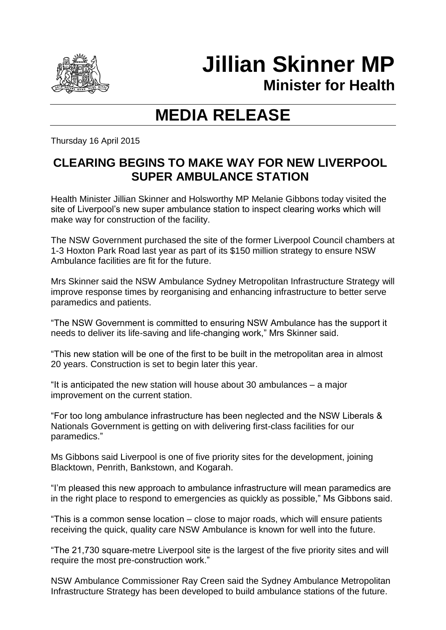

## **Jillian Skinner MP**

**Minister for Health**

## **MEDIA RELEASE**

Thursday 16 April 2015

## **CLEARING BEGINS TO MAKE WAY FOR NEW LIVERPOOL SUPER AMBULANCE STATION**

Health Minister Jillian Skinner and Holsworthy MP Melanie Gibbons today visited the site of Liverpool's new super ambulance station to inspect clearing works which will make way for construction of the facility.

The NSW Government purchased the site of the former Liverpool Council chambers at 1-3 Hoxton Park Road last year as part of its \$150 million strategy to ensure NSW Ambulance facilities are fit for the future.

Mrs Skinner said the NSW Ambulance Sydney Metropolitan Infrastructure Strategy will improve response times by reorganising and enhancing infrastructure to better serve paramedics and patients.

"The NSW Government is committed to ensuring NSW Ambulance has the support it needs to deliver its life-saving and life-changing work," Mrs Skinner said.

"This new station will be one of the first to be built in the metropolitan area in almost 20 years. Construction is set to begin later this year.

"It is anticipated the new station will house about 30 ambulances – a major improvement on the current station.

"For too long ambulance infrastructure has been neglected and the NSW Liberals & Nationals Government is getting on with delivering first-class facilities for our paramedics."

Ms Gibbons said Liverpool is one of five priority sites for the development, joining Blacktown, Penrith, Bankstown, and Kogarah.

"I'm pleased this new approach to ambulance infrastructure will mean paramedics are in the right place to respond to emergencies as quickly as possible," Ms Gibbons said.

"This is a common sense location – close to major roads, which will ensure patients receiving the quick, quality care NSW Ambulance is known for well into the future.

"The 21,730 square-metre Liverpool site is the largest of the five priority sites and will require the most pre-construction work."

NSW Ambulance Commissioner Ray Creen said the Sydney Ambulance Metropolitan Infrastructure Strategy has been developed to build ambulance stations of the future.